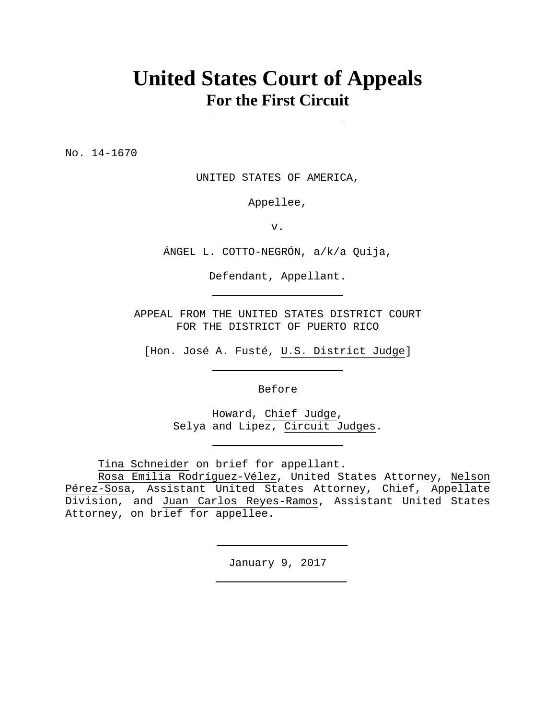## **United States Court of Appeals For the First Circuit**

No. 14-1670

UNITED STATES OF AMERICA,

Appellee,

v.

ÁNGEL L. COTTO-NEGRÓN, a/k/a Quija,

Defendant, Appellant.

APPEAL FROM THE UNITED STATES DISTRICT COURT FOR THE DISTRICT OF PUERTO RICO

[Hon. José A. Fusté, U.S. District Judge]

Before

Howard, Chief Judge, Selya and Lipez, Circuit Judges.

Tina Schneider on brief for appellant.

Rosa Emilia Rodríguez-Vélez, United States Attorney, Nelson Pérez-Sosa, Assistant United States Attorney, Chief, Appellate Division, and Juan Carlos Reyes-Ramos, Assistant United States Attorney, on brief for appellee.

January 9, 2017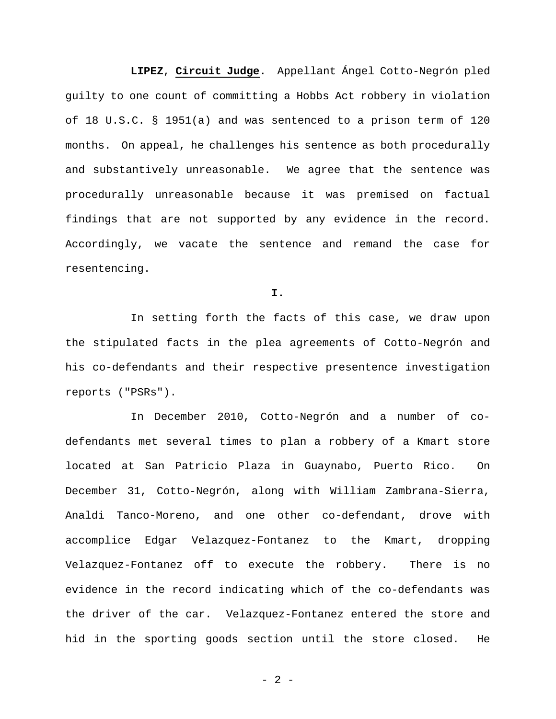**LIPEZ**, **Circuit Judge**. Appellant Ángel Cotto-Negrón pled guilty to one count of committing a Hobbs Act robbery in violation of 18 U.S.C. § 1951(a) and was sentenced to a prison term of 120 months. On appeal, he challenges his sentence as both procedurally and substantively unreasonable. We agree that the sentence was procedurally unreasonable because it was premised on factual findings that are not supported by any evidence in the record. Accordingly, we vacate the sentence and remand the case for resentencing.

**I.**

In setting forth the facts of this case, we draw upon the stipulated facts in the plea agreements of Cotto-Negrón and his co-defendants and their respective presentence investigation reports ("PSRs").

In December 2010, Cotto-Negrón and a number of codefendants met several times to plan a robbery of a Kmart store located at San Patricio Plaza in Guaynabo, Puerto Rico. On December 31, Cotto-Negrón, along with William Zambrana-Sierra, Analdi Tanco-Moreno, and one other co-defendant, drove with accomplice Edgar Velazquez-Fontanez to the Kmart, dropping Velazquez-Fontanez off to execute the robbery. There is no evidence in the record indicating which of the co-defendants was the driver of the car. Velazquez-Fontanez entered the store and hid in the sporting goods section until the store closed. He

- 2 -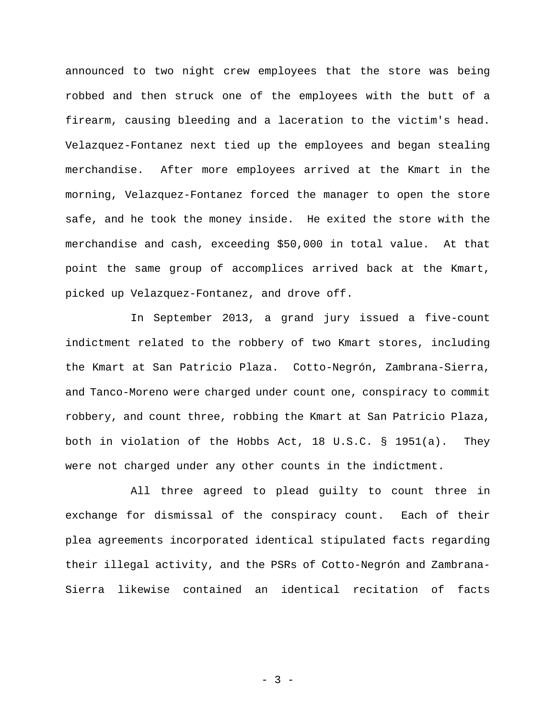announced to two night crew employees that the store was being robbed and then struck one of the employees with the butt of a firearm, causing bleeding and a laceration to the victim's head. Velazquez-Fontanez next tied up the employees and began stealing merchandise. After more employees arrived at the Kmart in the morning, Velazquez-Fontanez forced the manager to open the store safe, and he took the money inside. He exited the store with the merchandise and cash, exceeding \$50,000 in total value. At that point the same group of accomplices arrived back at the Kmart, picked up Velazquez-Fontanez, and drove off.

In September 2013, a grand jury issued a five-count indictment related to the robbery of two Kmart stores, including the Kmart at San Patricio Plaza. Cotto-Negrón, Zambrana-Sierra, and Tanco-Moreno were charged under count one, conspiracy to commit robbery, and count three, robbing the Kmart at San Patricio Plaza, both in violation of the Hobbs Act, 18 U.S.C. § 1951(a). They were not charged under any other counts in the indictment.

All three agreed to plead guilty to count three in exchange for dismissal of the conspiracy count. Each of their plea agreements incorporated identical stipulated facts regarding their illegal activity, and the PSRs of Cotto-Negrón and Zambrana-Sierra likewise contained an identical recitation of facts

 $- 3 -$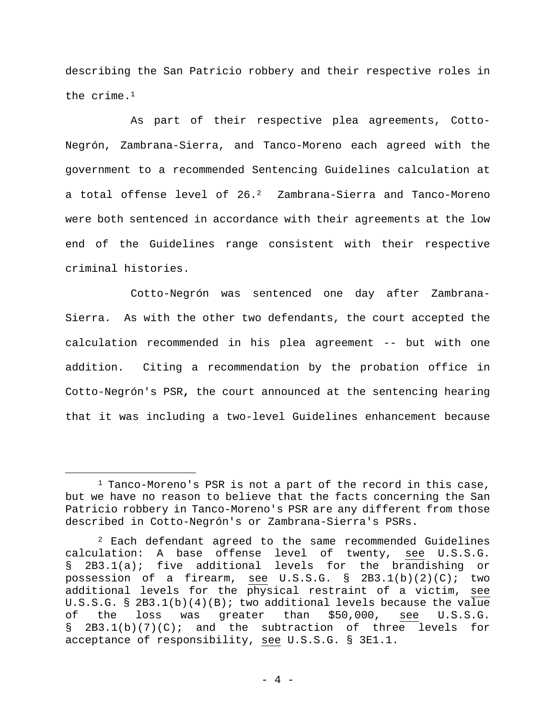describing the San Patricio robbery and their respective roles in the crime.1

As part of their respective plea agreements, Cotto-Negrón, Zambrana-Sierra, and Tanco-Moreno each agreed with the government to a recommended Sentencing Guidelines calculation at a total offense level of 26.<sup>2</sup> Zambrana-Sierra and Tanco-Moreno were both sentenced in accordance with their agreements at the low end of the Guidelines range consistent with their respective criminal histories.

Cotto-Negrón was sentenced one day after Zambrana-Sierra. As with the other two defendants, the court accepted the calculation recommended in his plea agreement -- but with one addition. Citing a recommendation by the probation office in Cotto-Negrón's PSR**,** the court announced at the sentencing hearing that it was including a two-level Guidelines enhancement because

 $1$  Tanco-Moreno's PSR is not a part of the record in this case, but we have no reason to believe that the facts concerning the San Patricio robbery in Tanco-Moreno's PSR are any different from those described in Cotto-Negrón's or Zambrana-Sierra's PSRs.

 $2$  Each defendant agreed to the same recommended Guidelines calculation: A base offense level of twenty, see U.S.S.G. § 2B3.1(a); five additional levels for the brandishing or possession of a firearm, see U.S.S.G. § 2B3.1(b)(2)(C); two additional levels for the physical restraint of a victim, see U.S.S.G. § 2B3.1(b)(4)(B); two additional levels because the value of the loss was greater than \$50,000, see U.S.S.G. § 2B3.1(b)(7)(C); and the subtraction of three levels for acceptance of responsibility, see U.S.S.G. § 3E1.1.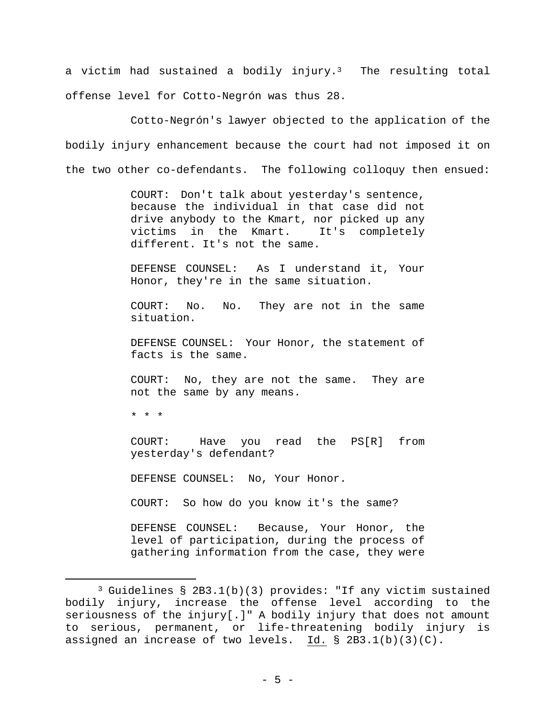a victim had sustained a bodily injury.<sup>3</sup> The resulting total offense level for Cotto-Negrón was thus 28.

Cotto-Negrón's lawyer objected to the application of the bodily injury enhancement because the court had not imposed it on the two other co-defendants. The following colloquy then ensued:

> COURT: Don't talk about yesterday's sentence, because the individual in that case did not drive anybody to the Kmart, nor picked up any victims in the Kmart. It's completely different. It's not the same.

> DEFENSE COUNSEL: As I understand it, Your Honor, they're in the same situation.

> COURT: No. No. They are not in the same situation.

> DEFENSE COUNSEL: Your Honor, the statement of facts is the same.

> COURT: No, they are not the same. They are not the same by any means.

\* \* \*

COURT: Have you read the PS[R] from yesterday's defendant?

DEFENSE COUNSEL: No, Your Honor.

COURT: So how do you know it's the same?

DEFENSE COUNSEL: Because, Your Honor, the level of participation, during the process of gathering information from the case, they were

 <sup>3</sup> Guidelines § 2B3.1(b)(3) provides: "If any victim sustained bodily injury, increase the offense level according to the seriousness of the injury[.]" A bodily injury that does not amount to serious, permanent, or life-threatening bodily injury is assigned an increase of two levels. Id. § 2B3.1(b)(3)(C).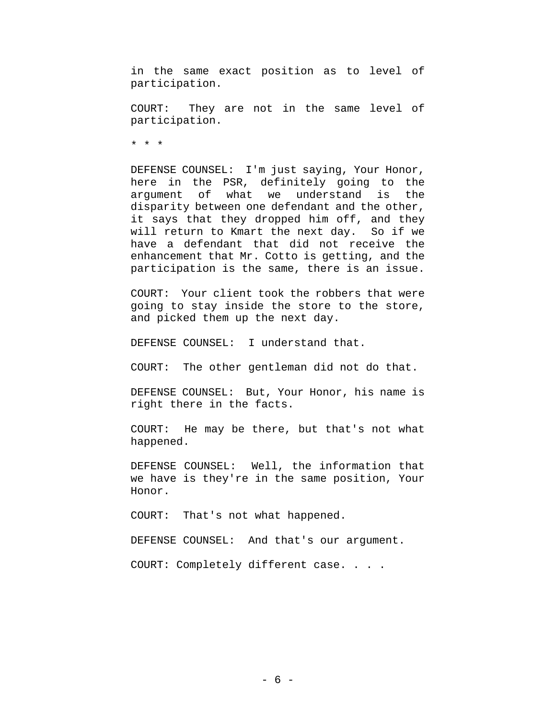in the same exact position as to level of participation.

COURT: They are not in the same level of participation.

\* \* \*

DEFENSE COUNSEL: I'm just saying, Your Honor, here in the PSR, definitely going to the argument of what we understand is the disparity between one defendant and the other, it says that they dropped him off, and they will return to Kmart the next day. So if we have a defendant that did not receive the enhancement that Mr. Cotto is getting, and the participation is the same, there is an issue.

COURT: Your client took the robbers that were going to stay inside the store to the store, and picked them up the next day.

DEFENSE COUNSEL: I understand that.

COURT: The other gentleman did not do that.

DEFENSE COUNSEL: But, Your Honor, his name is right there in the facts.

COURT: He may be there, but that's not what happened.

DEFENSE COUNSEL: Well, the information that we have is they're in the same position, Your Honor.

COURT: That's not what happened.

DEFENSE COUNSEL: And that's our argument.

COURT: Completely different case. . . .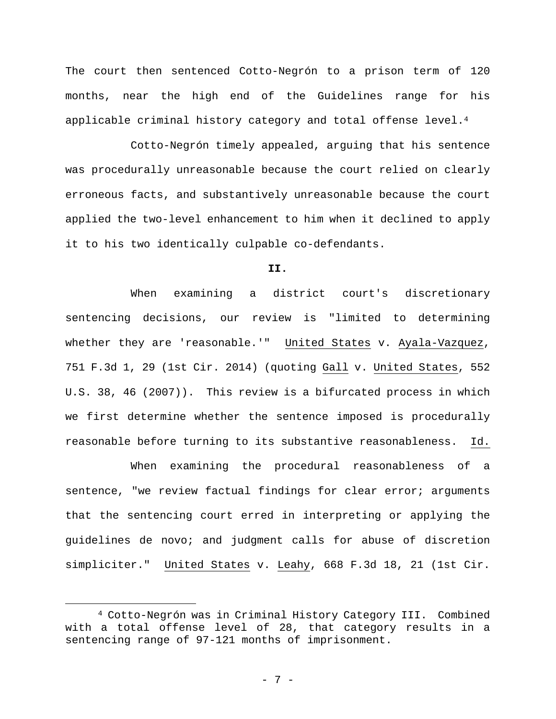The court then sentenced Cotto-Negrón to a prison term of 120 months, near the high end of the Guidelines range for his applicable criminal history category and total offense level.4

Cotto-Negrón timely appealed, arguing that his sentence was procedurally unreasonable because the court relied on clearly erroneous facts, and substantively unreasonable because the court applied the two-level enhancement to him when it declined to apply it to his two identically culpable co-defendants.

**II.**

When examining a district court's discretionary sentencing decisions, our review is "limited to determining whether they are 'reasonable.'" United States v. Ayala-Vazquez, 751 F.3d 1, 29 (1st Cir. 2014) (quoting Gall v. United States, 552 U.S. 38, 46 (2007)). This review is a bifurcated process in which we first determine whether the sentence imposed is procedurally reasonable before turning to its substantive reasonableness. Id.

When examining the procedural reasonableness of a sentence, "we review factual findings for clear error; arguments that the sentencing court erred in interpreting or applying the guidelines de novo; and judgment calls for abuse of discretion simpliciter." United States v. Leahy, 668 F.3d 18, 21 (1st Cir.

 <sup>4</sup> Cotto-Negrón was in Criminal History Category III. Combined with a total offense level of 28, that category results in a sentencing range of 97-121 months of imprisonment.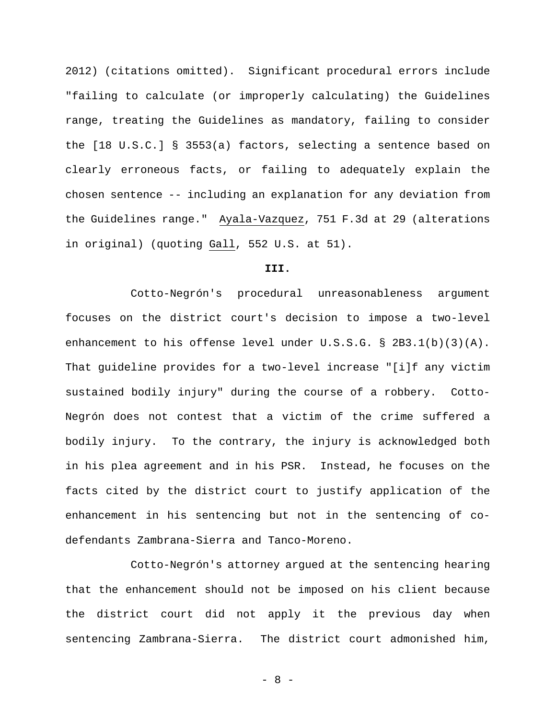2012) (citations omitted). Significant procedural errors include "failing to calculate (or improperly calculating) the Guidelines range, treating the Guidelines as mandatory, failing to consider the [18 U.S.C.] § 3553(a) factors, selecting a sentence based on clearly erroneous facts, or failing to adequately explain the chosen sentence -- including an explanation for any deviation from the Guidelines range." Ayala-Vazquez, 751 F.3d at 29 (alterations in original) (quoting Gall, 552 U.S. at 51).

## **III.**

Cotto-Negrón's procedural unreasonableness argument focuses on the district court's decision to impose a two-level enhancement to his offense level under U.S.S.G. § 2B3.1(b)(3)(A). That guideline provides for a two-level increase "[i]f any victim sustained bodily injury" during the course of a robbery. Cotto-Negrón does not contest that a victim of the crime suffered a bodily injury. To the contrary, the injury is acknowledged both in his plea agreement and in his PSR. Instead, he focuses on the facts cited by the district court to justify application of the enhancement in his sentencing but not in the sentencing of codefendants Zambrana-Sierra and Tanco-Moreno.

Cotto-Negrón's attorney argued at the sentencing hearing that the enhancement should not be imposed on his client because the district court did not apply it the previous day when sentencing Zambrana-Sierra. The district court admonished him,

- 8 -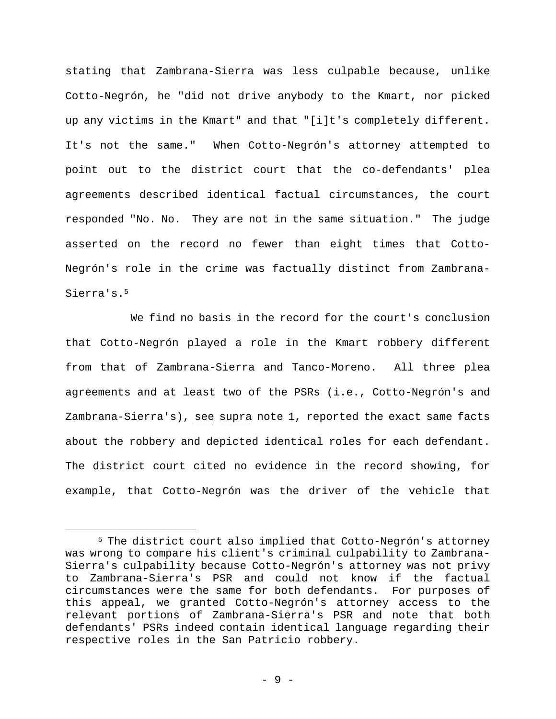stating that Zambrana-Sierra was less culpable because, unlike Cotto-Negrón, he "did not drive anybody to the Kmart, nor picked up any victims in the Kmart" and that "[i]t's completely different. It's not the same." When Cotto-Negrón's attorney attempted to point out to the district court that the co-defendants' plea agreements described identical factual circumstances, the court responded "No. No. They are not in the same situation." The judge asserted on the record no fewer than eight times that Cotto-Negrón's role in the crime was factually distinct from Zambrana-Sierra's.5

We find no basis in the record for the court's conclusion that Cotto-Negrón played a role in the Kmart robbery different from that of Zambrana-Sierra and Tanco-Moreno. All three plea agreements and at least two of the PSRs (i.e., Cotto-Negrón's and Zambrana-Sierra's), see supra note 1, reported the exact same facts about the robbery and depicted identical roles for each defendant. The district court cited no evidence in the record showing, for example, that Cotto-Negrón was the driver of the vehicle that

 <sup>5</sup> The district court also implied that Cotto-Negrón's attorney was wrong to compare his client's criminal culpability to Zambrana-Sierra's culpability because Cotto-Negrón's attorney was not privy to Zambrana-Sierra's PSR and could not know if the factual circumstances were the same for both defendants. For purposes of this appeal, we granted Cotto-Negrón's attorney access to the relevant portions of Zambrana-Sierra's PSR and note that both defendants' PSRs indeed contain identical language regarding their respective roles in the San Patricio robbery.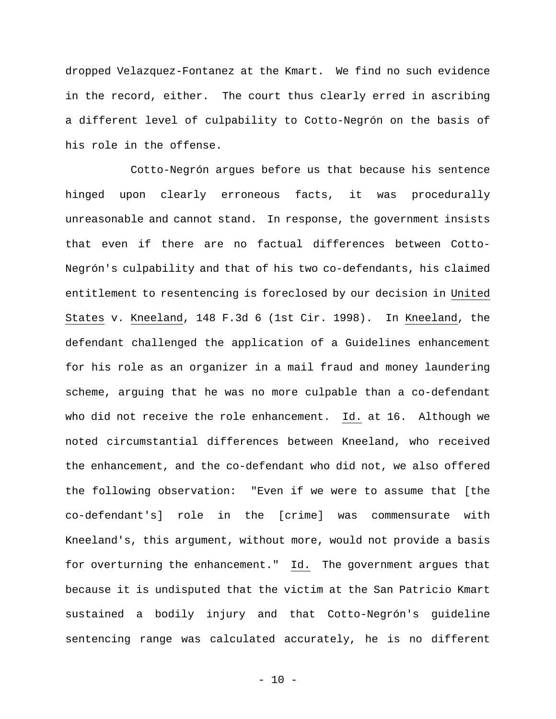dropped Velazquez-Fontanez at the Kmart. We find no such evidence in the record, either. The court thus clearly erred in ascribing a different level of culpability to Cotto-Negrón on the basis of his role in the offense.

Cotto-Negrón argues before us that because his sentence hinged upon clearly erroneous facts, it was procedurally unreasonable and cannot stand. In response, the government insists that even if there are no factual differences between Cotto-Negrón's culpability and that of his two co-defendants, his claimed entitlement to resentencing is foreclosed by our decision in United States v. Kneeland, 148 F.3d 6 (1st Cir. 1998). In Kneeland, the defendant challenged the application of a Guidelines enhancement for his role as an organizer in a mail fraud and money laundering scheme, arguing that he was no more culpable than a co-defendant who did not receive the role enhancement. Id. at 16. Although we noted circumstantial differences between Kneeland, who received the enhancement, and the co-defendant who did not, we also offered the following observation: "Even if we were to assume that [the co-defendant's] role in the [crime] was commensurate with Kneeland's, this argument, without more, would not provide a basis for overturning the enhancement." Id. The government argues that because it is undisputed that the victim at the San Patricio Kmart sustained a bodily injury and that Cotto-Negrón's guideline sentencing range was calculated accurately, he is no different

- 10 -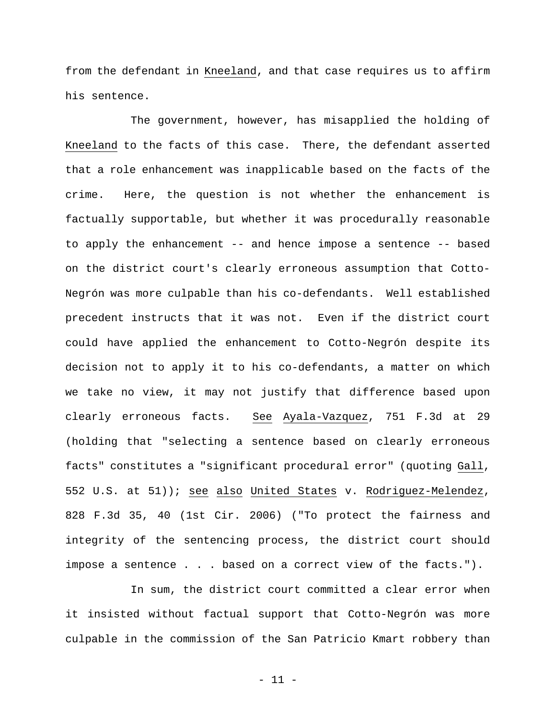from the defendant in Kneeland, and that case requires us to affirm his sentence.

The government, however, has misapplied the holding of Kneeland to the facts of this case. There, the defendant asserted that a role enhancement was inapplicable based on the facts of the crime. Here, the question is not whether the enhancement is factually supportable, but whether it was procedurally reasonable to apply the enhancement -- and hence impose a sentence -- based on the district court's clearly erroneous assumption that Cotto-Negrón was more culpable than his co-defendants. Well established precedent instructs that it was not. Even if the district court could have applied the enhancement to Cotto-Negrón despite its decision not to apply it to his co-defendants, a matter on which we take no view, it may not justify that difference based upon clearly erroneous facts. See Ayala-Vazquez, 751 F.3d at 29 (holding that "selecting a sentence based on clearly erroneous facts" constitutes a "significant procedural error" (quoting Gall, 552 U.S. at 51)); see also United States v. Rodriguez-Melendez, 828 F.3d 35, 40 (1st Cir. 2006) ("To protect the fairness and integrity of the sentencing process, the district court should impose a sentence . . . based on a correct view of the facts.").

In sum, the district court committed a clear error when it insisted without factual support that Cotto-Negrón was more culpable in the commission of the San Patricio Kmart robbery than

- 11 -